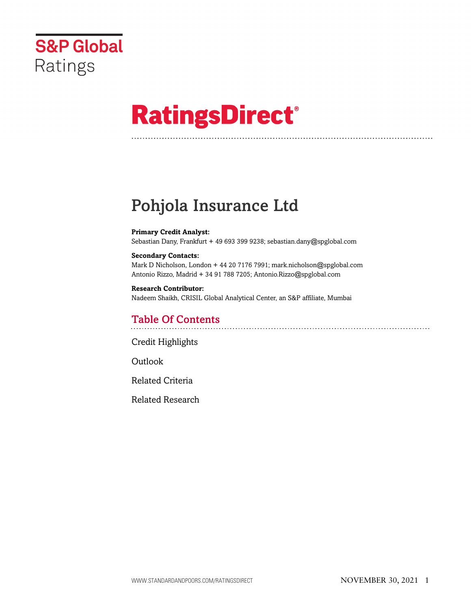

# **RatingsDirect®**

# Pohjola Insurance Ltd

#### **Primary Credit Analyst:**

Sebastian Dany, Frankfurt + 49 693 399 9238; sebastian.dany@spglobal.com

#### **Secondary Contacts:**

Mark D Nicholson, London + 44 20 7176 7991; mark.nicholson@spglobal.com Antonio Rizzo, Madrid + 34 91 788 7205; Antonio.Rizzo@spglobal.com

**Research Contributor:** Nadeem Shaikh, CRISIL Global Analytical Center, an S&P affiliate, Mumbai

### Table Of Contents

[Credit Highlights](#page-1-0)

Outlook

[Related Criteria](#page-2-0)

[Related Research](#page-2-1)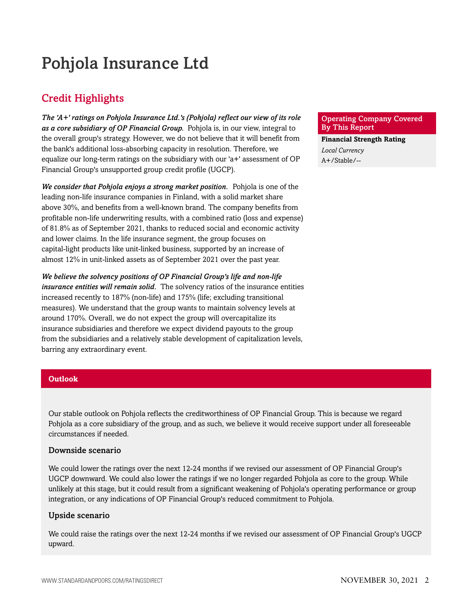# Pohjola Insurance Ltd

# <span id="page-1-0"></span>Credit Highlights

*The 'A+' ratings on Pohjola Insurance Ltd.'s (Pohjola) reflect our view of its role as a core subsidiary of OP Financial Group.* Pohjola is, in our view, integral to the overall group's strategy. However, we do not believe that it will benefit from the bank's additional loss-absorbing capacity in resolution. Therefore, we equalize our long-term ratings on the subsidiary with our 'a+' assessment of OP Financial Group's unsupported group credit profile (UGCP).

*We consider that Pohjola enjoys a strong market position.* Pohjola is one of the leading non-life insurance companies in Finland, with a solid market share above 30%, and benefits from a well-known brand. The company benefits from profitable non-life underwriting results, with a combined ratio (loss and expense) of 81.8% as of September 2021, thanks to reduced social and economic activity and lower claims. In the life insurance segment, the group focuses on capital-light products like unit-linked business, supported by an increase of almost 12% in unit-linked assets as of September 2021 over the past year.

*We believe the solvency positions of OP Financial Group's life and non-life insurance entities will remain solid.* The solvency ratios of the insurance entities increased recently to 187% (non-life) and 175% (life; excluding transitional measures). We understand that the group wants to maintain solvency levels at around 170%. Overall, we do not expect the group will overcapitalize its insurance subsidiaries and therefore we expect dividend payouts to the group from the subsidiaries and a relatively stable development of capitalization levels, barring any extraordinary event.

#### **Outlook**

Our stable outlook on Pohjola reflects the creditworthiness of OP Financial Group. This is because we regard Pohjola as a core subsidiary of the group, and as such, we believe it would receive support under all foreseeable circumstances if needed.

#### Downside scenario

We could lower the ratings over the next 12-24 months if we revised our assessment of OP Financial Group's UGCP downward. We could also lower the ratings if we no longer regarded Pohjola as core to the group. While unlikely at this stage, but it could result from a significant weakening of Pohjola's operating performance or group integration, or any indications of OP Financial Group's reduced commitment to Pohjola.

#### Upside scenario

We could raise the ratings over the next 12-24 months if we revised our assessment of OP Financial Group's UGCP upward.

#### Operating Company Covered By This Report

**Financial Strength Rating** *Local Currency* A+/Stable/--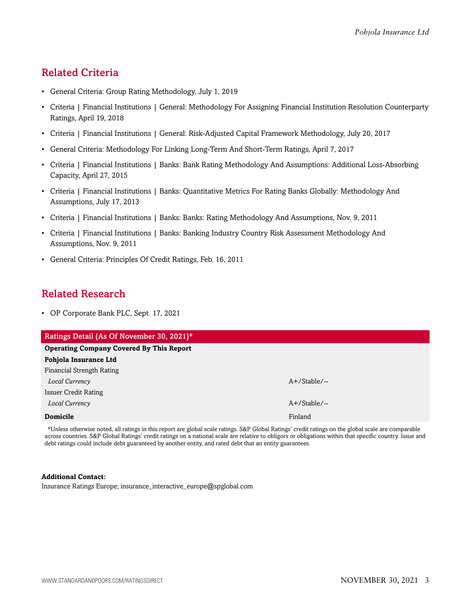## <span id="page-2-0"></span>Related Criteria

- General Criteria: Group Rating Methodology, July 1, 2019
- Criteria | Financial Institutions | General: Methodology For Assigning Financial Institution Resolution Counterparty Ratings, April 19, 2018
- Criteria | Financial Institutions | General: Risk-Adjusted Capital Framework Methodology, July 20, 2017
- General Criteria: Methodology For Linking Long-Term And Short-Term Ratings, April 7, 2017
- Criteria | Financial Institutions | Banks: Bank Rating Methodology And Assumptions: Additional Loss-Absorbing Capacity, April 27, 2015
- Criteria | Financial Institutions | Banks: Quantitative Metrics For Rating Banks Globally: Methodology And Assumptions, July 17, 2013
- Criteria | Financial Institutions | Banks: Banks: Rating Methodology And Assumptions, Nov. 9, 2011
- Criteria | Financial Institutions | Banks: Banking Industry Country Risk Assessment Methodology And Assumptions, Nov. 9, 2011
- General Criteria: Principles Of Credit Ratings, Feb. 16, 2011

### <span id="page-2-1"></span>Related Research

• OP Corporate Bank PLC, Sept. 17, 2021

| Ratings Detail (As Of November 30, 2021)*       |                 |
|-------------------------------------------------|-----------------|
| <b>Operating Company Covered By This Report</b> |                 |
| Pohjola Insurance Ltd                           |                 |
| Financial Strength Rating                       |                 |
| Local Currency                                  | $A+$ /Stable/-- |
| <b>Issuer Credit Rating</b>                     |                 |
| Local Currency                                  | $A+$ /Stable/-- |
| <b>Domicile</b>                                 | Finland         |
|                                                 |                 |

\*Unless otherwise noted, all ratings in this report are global scale ratings. S&P Global Ratings' credit ratings on the global scale are comparable across countries. S&P Global Ratings' credit ratings on a national scale are relative to obligors or obligations within that specific country. Issue and debt ratings could include debt guaranteed by another entity, and rated debt that an entity guarantees.

#### **Additional Contact:**

Insurance Ratings Europe; insurance\_interactive\_europe@spglobal.com